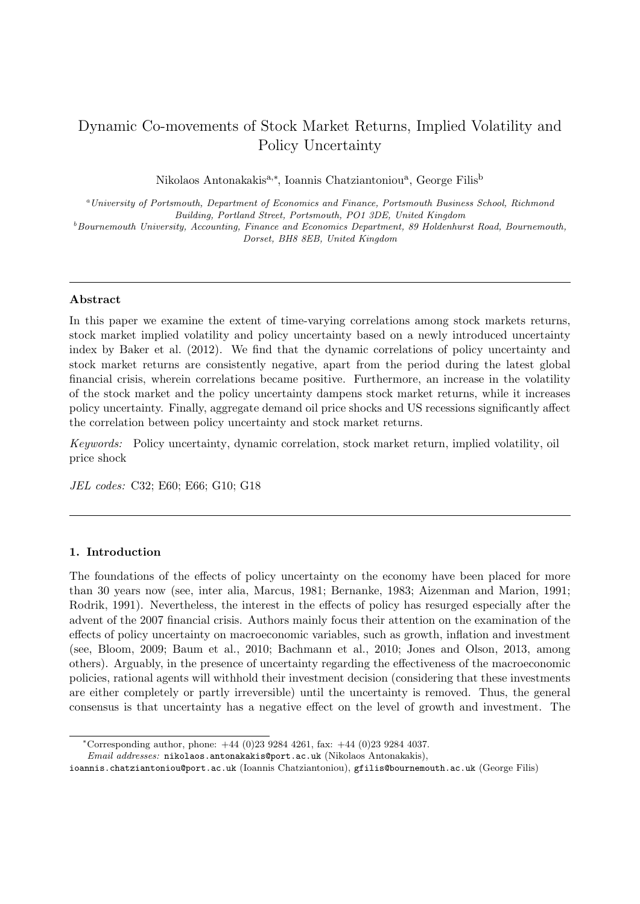# Dynamic Co-movements of Stock Market Returns, Implied Volatility and Policy Uncertainty

Nikolaos Antonakakis<sup>a,∗</sup>, Ioannis Chatziantoniou<sup>a</sup>, George Filis<sup>b</sup>

<sup>a</sup>University of Portsmouth, Department of Economics and Finance, Portsmouth Business School, Richmond Building, Portland Street, Portsmouth, PO1 3DE, United Kingdom  $^{b}$ Bournemouth University, Accounting, Finance and Economics Department, 89 Holdenhurst Road, Bournemouth, Dorset, BH8 8EB, United Kingdom

## Abstract

In this paper we examine the extent of time-varying correlations among stock markets returns, stock market implied volatility and policy uncertainty based on a newly introduced uncertainty index by Baker et al. (2012). We find that the dynamic correlations of policy uncertainty and stock market returns are consistently negative, apart from the period during the latest global financial crisis, wherein correlations became positive. Furthermore, an increase in the volatility of the stock market and the policy uncertainty dampens stock market returns, while it increases policy uncertainty. Finally, aggregate demand oil price shocks and US recessions significantly affect the correlation between policy uncertainty and stock market returns.

Keywords: Policy uncertainty, dynamic correlation, stock market return, implied volatility, oil price shock

JEL codes: C32; E60; E66; G10; G18

### 1. Introduction

The foundations of the effects of policy uncertainty on the economy have been placed for more than 30 years now (see, inter alia, Marcus, 1981; Bernanke, 1983; Aizenman and Marion, 1991; Rodrik, 1991). Nevertheless, the interest in the effects of policy has resurged especially after the advent of the 2007 financial crisis. Authors mainly focus their attention on the examination of the effects of policy uncertainty on macroeconomic variables, such as growth, inflation and investment (see, Bloom, 2009; Baum et al., 2010; Bachmann et al., 2010; Jones and Olson, 2013, among others). Arguably, in the presence of uncertainty regarding the effectiveness of the macroeconomic policies, rational agents will withhold their investment decision (considering that these investments are either completely or partly irreversible) until the uncertainty is removed. Thus, the general consensus is that uncertainty has a negative effect on the level of growth and investment. The

<sup>∗</sup>Corresponding author, phone: +44 (0)23 9284 4261, fax: +44 (0)23 9284 4037.

Email addresses: nikolaos.antonakakis@port.ac.uk (Nikolaos Antonakakis),

ioannis.chatziantoniou@port.ac.uk (Ioannis Chatziantoniou), gfilis@bournemouth.ac.uk (George Filis)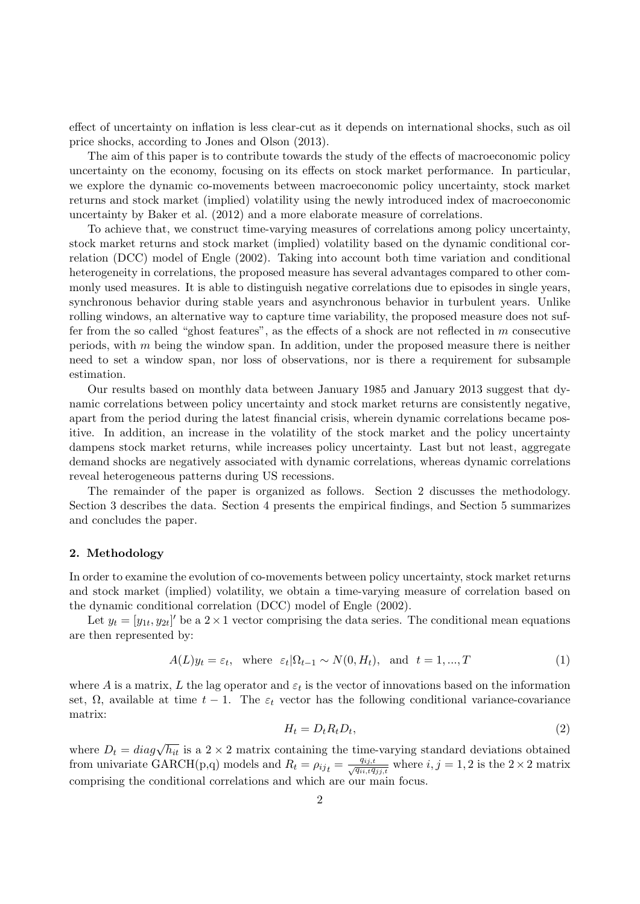effect of uncertainty on inflation is less clear-cut as it depends on international shocks, such as oil price shocks, according to Jones and Olson (2013).

The aim of this paper is to contribute towards the study of the effects of macroeconomic policy uncertainty on the economy, focusing on its effects on stock market performance. In particular, we explore the dynamic co-movements between macroeconomic policy uncertainty, stock market returns and stock market (implied) volatility using the newly introduced index of macroeconomic uncertainty by Baker et al. (2012) and a more elaborate measure of correlations.

To achieve that, we construct time-varying measures of correlations among policy uncertainty, stock market returns and stock market (implied) volatility based on the dynamic conditional correlation (DCC) model of Engle (2002). Taking into account both time variation and conditional heterogeneity in correlations, the proposed measure has several advantages compared to other commonly used measures. It is able to distinguish negative correlations due to episodes in single years, synchronous behavior during stable years and asynchronous behavior in turbulent years. Unlike rolling windows, an alternative way to capture time variability, the proposed measure does not suffer from the so called "ghost features", as the effects of a shock are not reflected in m consecutive periods, with m being the window span. In addition, under the proposed measure there is neither need to set a window span, nor loss of observations, nor is there a requirement for subsample estimation.

Our results based on monthly data between January 1985 and January 2013 suggest that dynamic correlations between policy uncertainty and stock market returns are consistently negative, apart from the period during the latest financial crisis, wherein dynamic correlations became positive. In addition, an increase in the volatility of the stock market and the policy uncertainty dampens stock market returns, while increases policy uncertainty. Last but not least, aggregate demand shocks are negatively associated with dynamic correlations, whereas dynamic correlations reveal heterogeneous patterns during US recessions.

The remainder of the paper is organized as follows. Section 2 discusses the methodology. Section 3 describes the data. Section 4 presents the empirical findings, and Section 5 summarizes and concludes the paper.

#### 2. Methodology

In order to examine the evolution of co-movements between policy uncertainty, stock market returns and stock market (implied) volatility, we obtain a time-varying measure of correlation based on the dynamic conditional correlation (DCC) model of Engle (2002).

Let  $y_t = [y_{1t}, y_{2t}]'$  be a  $2 \times 1$  vector comprising the data series. The conditional mean equations are then represented by:

$$
A(L)y_t = \varepsilon_t, \text{ where } \varepsilon_t | \Omega_{t-1} \sim N(0, H_t), \text{ and } t = 1, ..., T
$$
 (1)

where A is a matrix, L the lag operator and  $\varepsilon_t$  is the vector of innovations based on the information set,  $\Omega$ , available at time  $t - 1$ . The  $\varepsilon_t$  vector has the following conditional variance-covariance matrix:

$$
H_t = D_t R_t D_t,\tag{2}
$$

where  $D_t = diag\sqrt{h_{it}}$  is a 2 × 2 matrix containing the time-varying standard deviations obtained from univariate GARCH(p,q) models and  $R_t = \rho_{ijt} = \frac{q_{ij,t}}{\sqrt{q_{ii,t}q_{jj,t}}}$  where  $i, j = 1, 2$  is the  $2 \times 2$  matrix comprising the conditional correlations and which are our main focus.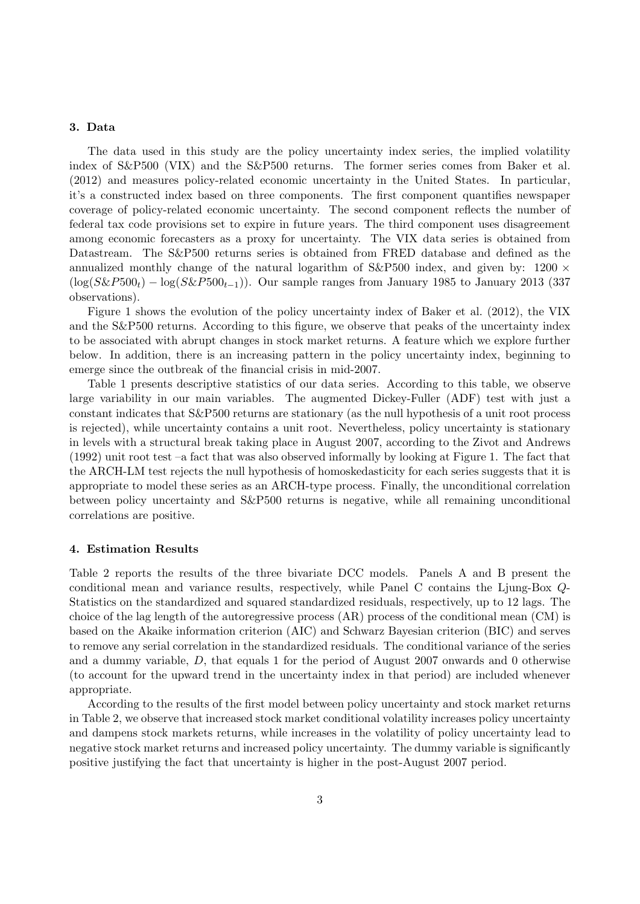#### 3. Data

The data used in this study are the policy uncertainty index series, the implied volatility index of S&P500 (VIX) and the S&P500 returns. The former series comes from Baker et al. (2012) and measures policy-related economic uncertainty in the United States. In particular, it's a constructed index based on three components. The first component quantifies newspaper coverage of policy-related economic uncertainty. The second component reflects the number of federal tax code provisions set to expire in future years. The third component uses disagreement among economic forecasters as a proxy for uncertainty. The VIX data series is obtained from Datastream. The S&P500 returns series is obtained from FRED database and defined as the annualized monthly change of the natural logarithm of  $S\&P500$  index, and given by: 1200  $\times$  $(\log(S\&P500<sub>t</sub>) - \log(S\&P500<sub>t-1</sub>)$ . Our sample ranges from January 1985 to January 2013 (337) observations).

Figure 1 shows the evolution of the policy uncertainty index of Baker et al. (2012), the VIX and the S&P500 returns. According to this figure, we observe that peaks of the uncertainty index to be associated with abrupt changes in stock market returns. A feature which we explore further below. In addition, there is an increasing pattern in the policy uncertainty index, beginning to emerge since the outbreak of the financial crisis in mid-2007.

Table 1 presents descriptive statistics of our data series. According to this table, we observe large variability in our main variables. The augmented Dickey-Fuller (ADF) test with just a constant indicates that S&P500 returns are stationary (as the null hypothesis of a unit root process is rejected), while uncertainty contains a unit root. Nevertheless, policy uncertainty is stationary in levels with a structural break taking place in August 2007, according to the Zivot and Andrews (1992) unit root test –a fact that was also observed informally by looking at Figure 1. The fact that the ARCH-LM test rejects the null hypothesis of homoskedasticity for each series suggests that it is appropriate to model these series as an ARCH-type process. Finally, the unconditional correlation between policy uncertainty and S&P500 returns is negative, while all remaining unconditional correlations are positive.

#### 4. Estimation Results

Table 2 reports the results of the three bivariate DCC models. Panels A and B present the conditional mean and variance results, respectively, while Panel C contains the Ljung-Box Q-Statistics on the standardized and squared standardized residuals, respectively, up to 12 lags. The choice of the lag length of the autoregressive process (AR) process of the conditional mean (CM) is based on the Akaike information criterion (AIC) and Schwarz Bayesian criterion (BIC) and serves to remove any serial correlation in the standardized residuals. The conditional variance of the series and a dummy variable, D, that equals 1 for the period of August 2007 onwards and 0 otherwise (to account for the upward trend in the uncertainty index in that period) are included whenever appropriate.

According to the results of the first model between policy uncertainty and stock market returns in Table 2, we observe that increased stock market conditional volatility increases policy uncertainty and dampens stock markets returns, while increases in the volatility of policy uncertainty lead to negative stock market returns and increased policy uncertainty. The dummy variable is significantly positive justifying the fact that uncertainty is higher in the post-August 2007 period.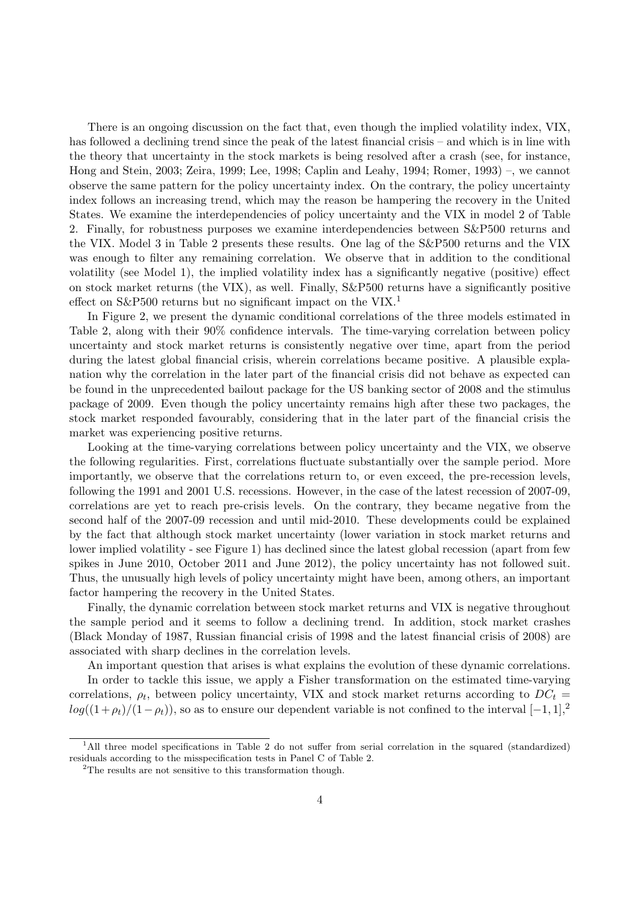There is an ongoing discussion on the fact that, even though the implied volatility index, VIX, has followed a declining trend since the peak of the latest financial crisis – and which is in line with the theory that uncertainty in the stock markets is being resolved after a crash (see, for instance, Hong and Stein, 2003; Zeira, 1999; Lee, 1998; Caplin and Leahy, 1994; Romer, 1993) –, we cannot observe the same pattern for the policy uncertainty index. On the contrary, the policy uncertainty index follows an increasing trend, which may the reason be hampering the recovery in the United States. We examine the interdependencies of policy uncertainty and the VIX in model 2 of Table 2. Finally, for robustness purposes we examine interdependencies between S&P500 returns and the VIX. Model 3 in Table 2 presents these results. One lag of the S&P500 returns and the VIX was enough to filter any remaining correlation. We observe that in addition to the conditional volatility (see Model 1), the implied volatility index has a significantly negative (positive) effect on stock market returns (the VIX), as well. Finally, S&P500 returns have a significantly positive effect on S&P500 returns but no significant impact on the VIX.<sup>1</sup>

In Figure 2, we present the dynamic conditional correlations of the three models estimated in Table 2, along with their 90% confidence intervals. The time-varying correlation between policy uncertainty and stock market returns is consistently negative over time, apart from the period during the latest global financial crisis, wherein correlations became positive. A plausible explanation why the correlation in the later part of the financial crisis did not behave as expected can be found in the unprecedented bailout package for the US banking sector of 2008 and the stimulus package of 2009. Even though the policy uncertainty remains high after these two packages, the stock market responded favourably, considering that in the later part of the financial crisis the market was experiencing positive returns.

Looking at the time-varying correlations between policy uncertainty and the VIX, we observe the following regularities. First, correlations fluctuate substantially over the sample period. More importantly, we observe that the correlations return to, or even exceed, the pre-recession levels, following the 1991 and 2001 U.S. recessions. However, in the case of the latest recession of 2007-09, correlations are yet to reach pre-crisis levels. On the contrary, they became negative from the second half of the 2007-09 recession and until mid-2010. These developments could be explained by the fact that although stock market uncertainty (lower variation in stock market returns and lower implied volatility - see Figure 1) has declined since the latest global recession (apart from few spikes in June 2010, October 2011 and June 2012), the policy uncertainty has not followed suit. Thus, the unusually high levels of policy uncertainty might have been, among others, an important factor hampering the recovery in the United States.

Finally, the dynamic correlation between stock market returns and VIX is negative throughout the sample period and it seems to follow a declining trend. In addition, stock market crashes (Black Monday of 1987, Russian financial crisis of 1998 and the latest financial crisis of 2008) are associated with sharp declines in the correlation levels.

An important question that arises is what explains the evolution of these dynamic correlations.

In order to tackle this issue, we apply a Fisher transformation on the estimated time-varying correlations,  $\rho_t$ , between policy uncertainty, VIX and stock market returns according to  $DC_t$  $log((1+\rho_t)/(1-\rho_t))$ , so as to ensure our dependent variable is not confined to the interval  $[-1, 1]$ ,<sup>2</sup>

<sup>&</sup>lt;sup>1</sup>All three model specifications in Table 2 do not suffer from serial correlation in the squared (standardized) residuals according to the misspecification tests in Panel C of Table 2.

 $2$ The results are not sensitive to this transformation though.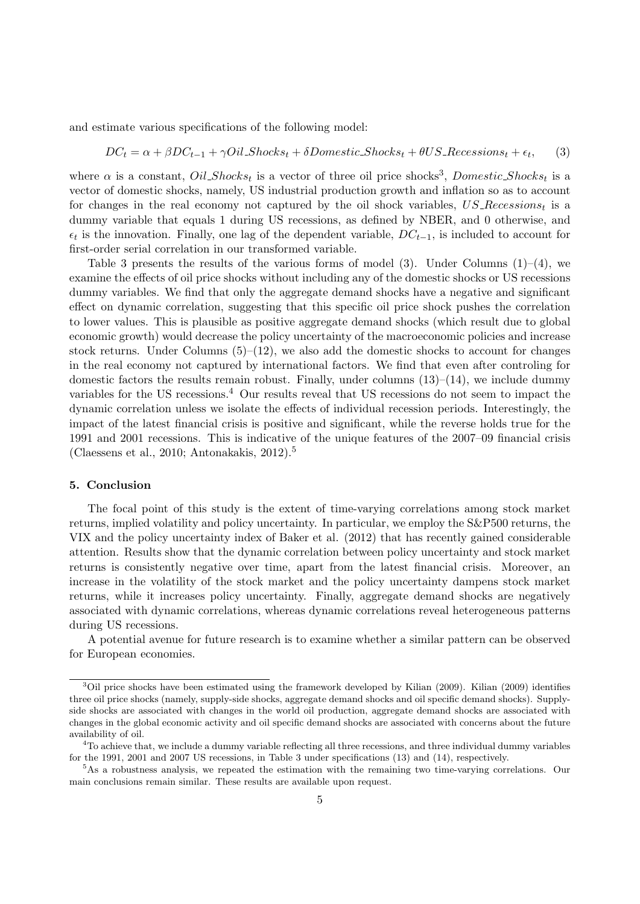and estimate various specifications of the following model:

$$
DC_t = \alpha + \beta DC_{t-1} + \gamma Oil\_Shocks_t + \delta Domestic\_Shocks_t + \theta US\_Recessions_t + \epsilon_t,
$$
 (3)

where  $\alpha$  is a constant,  $Oil\_Shocks_t$  is a vector of three oil price shocks<sup>3</sup>, Domestic Shocks<sub>t</sub> is a vector of domestic shocks, namely, US industrial production growth and inflation so as to account for changes in the real economy not captured by the oil shock variables,  $US\text{-}Recessions_t$  is a dummy variable that equals 1 during US recessions, as defined by NBER, and 0 otherwise, and  $\epsilon_t$  is the innovation. Finally, one lag of the dependent variable,  $DC_{t-1}$ , is included to account for first-order serial correlation in our transformed variable.

Table 3 presents the results of the various forms of model  $(3)$ . Under Columns  $(1)$ – $(4)$ , we examine the effects of oil price shocks without including any of the domestic shocks or US recessions dummy variables. We find that only the aggregate demand shocks have a negative and significant effect on dynamic correlation, suggesting that this specific oil price shock pushes the correlation to lower values. This is plausible as positive aggregate demand shocks (which result due to global economic growth) would decrease the policy uncertainty of the macroeconomic policies and increase stock returns. Under Columns  $(5)-(12)$ , we also add the domestic shocks to account for changes in the real economy not captured by international factors. We find that even after controling for domestic factors the results remain robust. Finally, under columns  $(13)$ – $(14)$ , we include dummy variables for the US recessions.<sup>4</sup> Our results reveal that US recessions do not seem to impact the dynamic correlation unless we isolate the effects of individual recession periods. Interestingly, the impact of the latest financial crisis is positive and significant, while the reverse holds true for the 1991 and 2001 recessions. This is indicative of the unique features of the 2007–09 financial crisis (Claessens et al., 2010; Antonakakis, 2012).<sup>5</sup>

#### 5. Conclusion

The focal point of this study is the extent of time-varying correlations among stock market returns, implied volatility and policy uncertainty. In particular, we employ the S&P500 returns, the VIX and the policy uncertainty index of Baker et al. (2012) that has recently gained considerable attention. Results show that the dynamic correlation between policy uncertainty and stock market returns is consistently negative over time, apart from the latest financial crisis. Moreover, an increase in the volatility of the stock market and the policy uncertainty dampens stock market returns, while it increases policy uncertainty. Finally, aggregate demand shocks are negatively associated with dynamic correlations, whereas dynamic correlations reveal heterogeneous patterns during US recessions.

A potential avenue for future research is to examine whether a similar pattern can be observed for European economies.

<sup>&</sup>lt;sup>3</sup>Oil price shocks have been estimated using the framework developed by Kilian (2009). Kilian (2009) identifies three oil price shocks (namely, supply-side shocks, aggregate demand shocks and oil specific demand shocks). Supplyside shocks are associated with changes in the world oil production, aggregate demand shocks are associated with changes in the global economic activity and oil specific demand shocks are associated with concerns about the future availability of oil.

<sup>&</sup>lt;sup>4</sup>To achieve that, we include a dummy variable reflecting all three recessions, and three individual dummy variables for the 1991, 2001 and 2007 US recessions, in Table 3 under specifications (13) and (14), respectively.

<sup>5</sup>As a robustness analysis, we repeated the estimation with the remaining two time-varying correlations. Our main conclusions remain similar. These results are available upon request.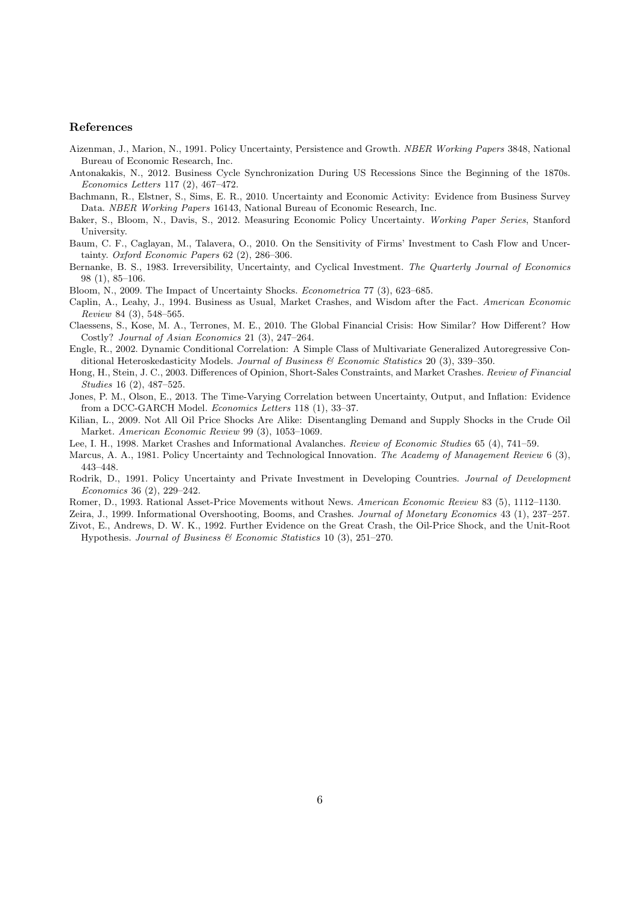#### References

- Aizenman, J., Marion, N., 1991. Policy Uncertainty, Persistence and Growth. NBER Working Papers 3848, National Bureau of Economic Research, Inc.
- Antonakakis, N., 2012. Business Cycle Synchronization During US Recessions Since the Beginning of the 1870s. Economics Letters 117 (2), 467–472.
- Bachmann, R., Elstner, S., Sims, E. R., 2010. Uncertainty and Economic Activity: Evidence from Business Survey Data. NBER Working Papers 16143, National Bureau of Economic Research, Inc.
- Baker, S., Bloom, N., Davis, S., 2012. Measuring Economic Policy Uncertainty. Working Paper Series, Stanford University.
- Baum, C. F., Caglayan, M., Talavera, O., 2010. On the Sensitivity of Firms' Investment to Cash Flow and Uncertainty. Oxford Economic Papers 62 (2), 286–306.
- Bernanke, B. S., 1983. Irreversibility, Uncertainty, and Cyclical Investment. The Quarterly Journal of Economics 98 (1), 85–106.
- Bloom, N., 2009. The Impact of Uncertainty Shocks. Econometrica 77 (3), 623–685.
- Caplin, A., Leahy, J., 1994. Business as Usual, Market Crashes, and Wisdom after the Fact. American Economic Review 84 (3), 548–565.
- Claessens, S., Kose, M. A., Terrones, M. E., 2010. The Global Financial Crisis: How Similar? How Different? How Costly? Journal of Asian Economics 21 (3), 247–264.
- Engle, R., 2002. Dynamic Conditional Correlation: A Simple Class of Multivariate Generalized Autoregressive Conditional Heteroskedasticity Models. Journal of Business & Economic Statistics 20 (3), 339–350.
- Hong, H., Stein, J. C., 2003. Differences of Opinion, Short-Sales Constraints, and Market Crashes. Review of Financial Studies 16 (2), 487–525.
- Jones, P. M., Olson, E., 2013. The Time-Varying Correlation between Uncertainty, Output, and Inflation: Evidence from a DCC-GARCH Model. Economics Letters 118 (1), 33–37.
- Kilian, L., 2009. Not All Oil Price Shocks Are Alike: Disentangling Demand and Supply Shocks in the Crude Oil Market. American Economic Review 99 (3), 1053–1069.
- Lee, I. H., 1998. Market Crashes and Informational Avalanches. Review of Economic Studies 65 (4), 741–59.
- Marcus, A. A., 1981. Policy Uncertainty and Technological Innovation. The Academy of Management Review 6 (3), 443–448.
- Rodrik, D., 1991. Policy Uncertainty and Private Investment in Developing Countries. Journal of Development Economics 36 (2), 229–242.
- Romer, D., 1993. Rational Asset-Price Movements without News. American Economic Review 83 (5), 1112–1130.

Zeira, J., 1999. Informational Overshooting, Booms, and Crashes. Journal of Monetary Economics 43 (1), 237–257.

Zivot, E., Andrews, D. W. K., 1992. Further Evidence on the Great Crash, the Oil-Price Shock, and the Unit-Root Hypothesis. Journal of Business & Economic Statistics 10 (3), 251–270.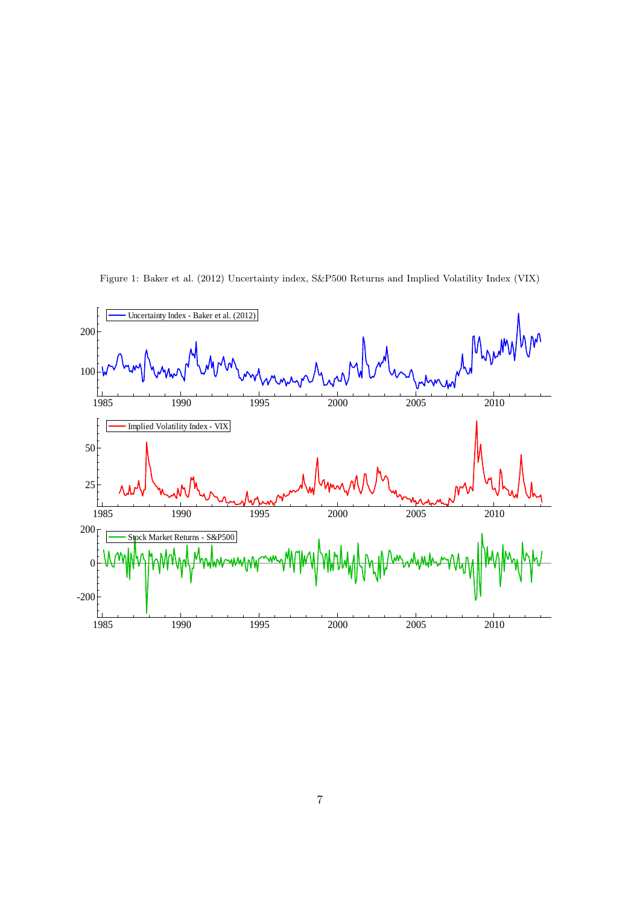

Figure 1: Baker et al. (2012) Uncertainty index, S&P500 Returns and Implied Volatility Index (VIX)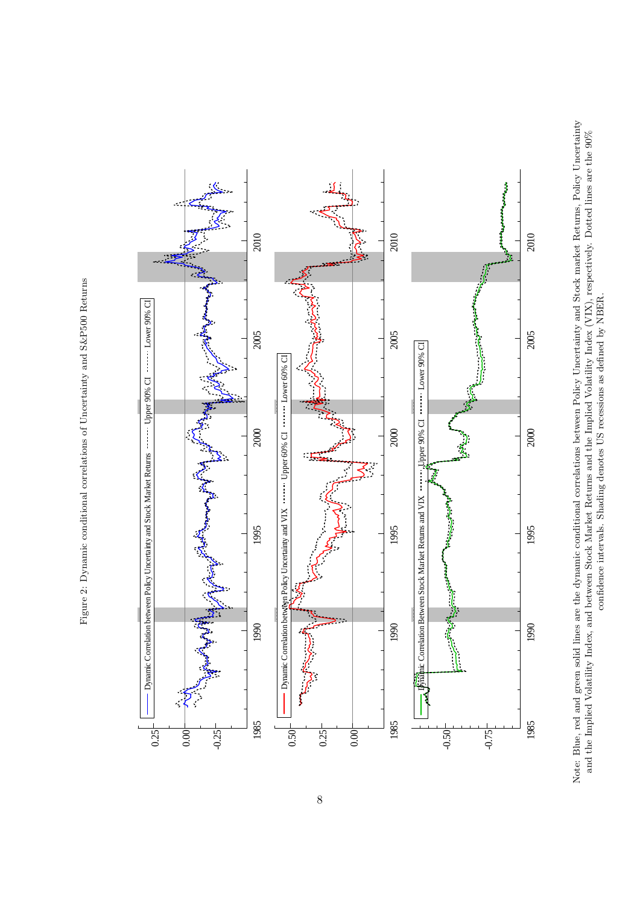Figure 2: Dynamic conditional correlations of Uncertainty and S&P500 Returns Figure 2: Dynamic conditional correlations of Uncertainty and S&P500 Returns



Note: Blue, red and green solid lines are the dynamic conditional correlations between Policy Uncertainty and Stock market Returns, Policy Uncertainty Note: Blue, red and green solid lines are the dynamic conditional correlations between Policy Uncertainty and Stock market Returns, Policy Uncertainty and the Implied Volatility Index, and between Stock Market Returns and the Implied Volatility Index (VIX), respectively. Dotted lines are the 90% and the Implied Volatility Index, and between Stock Market Returns and the Implied Volatility Index (VIX), respectively. Dotted lines are the 90% confidence intervals. Shading denotes US recessions as defined by NBER. confidence intervals. Shading denotes US recessions as defined by NBER.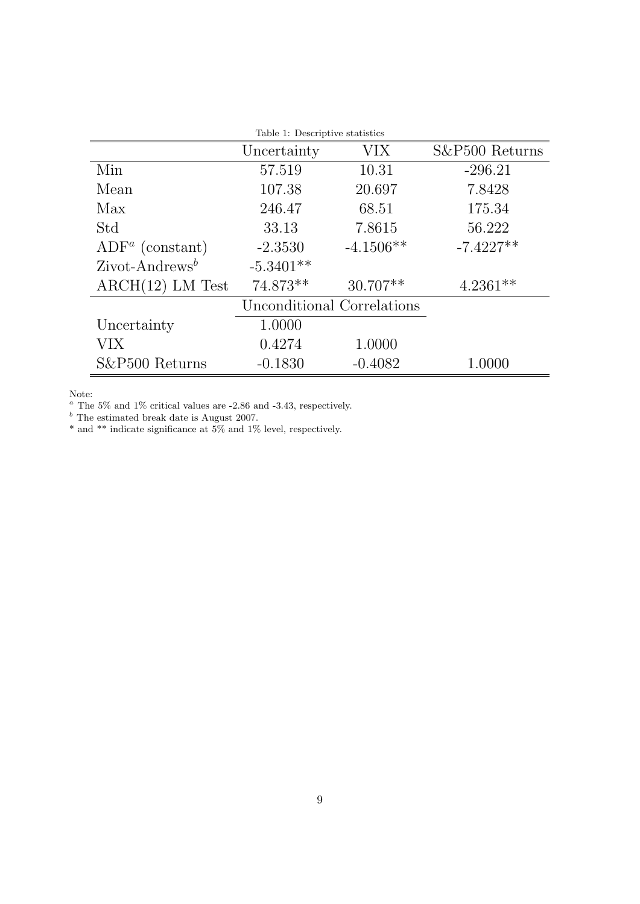|                           | Table 1: Descriptive statistics |                            |                |
|---------------------------|---------------------------------|----------------------------|----------------|
|                           | Uncertainty                     | <b>VIX</b>                 | S&P500 Returns |
| Min                       | 57.519                          | 10.31                      | $-296.21$      |
| Mean                      | 107.38                          | 20.697                     | 7.8428         |
| Max                       | 246.47                          | 68.51                      | 175.34         |
| Std                       | 33.13                           | 7.8615                     | 56.222         |
| $ADFa$ (constant)         | $-2.3530$                       | $-4.1506**$                | $-7.4227**$    |
| $\text{Zivot-Andrews}^b$  | $-5.3401**$                     |                            |                |
| $\text{ARCH}(12)$ LM Test | 74.873**                        | $30.707**$                 | $4.2361**$     |
|                           |                                 | Unconditional Correlations |                |
| Uncertainty               | 1.0000                          |                            |                |
| VIX                       | 0.4274                          | 1.0000                     |                |
| S&P500 Returns            | $-0.1830$                       | $-0.4082$                  | $1.0000\,$     |

Note:

 $a$  The 5% and 1% critical values are -2.86 and -3.43, respectively.

 $<sup>b</sup>$  The estimated break date is August 2007.</sup>

\* and \*\* indicate significance at 5% and 1% level, respectively.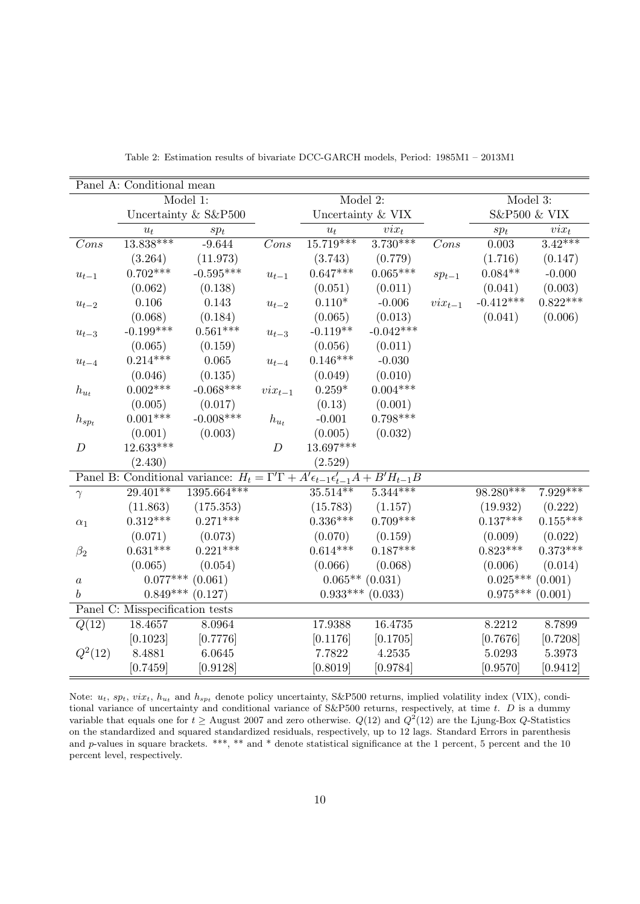|                      | Panel A: Conditional mean       |                                                                                                            |                        |                        |             |                            |                      |                  |
|----------------------|---------------------------------|------------------------------------------------------------------------------------------------------------|------------------------|------------------------|-------------|----------------------------|----------------------|------------------|
|                      |                                 | Model 1:                                                                                                   |                        | Model 2:               |             |                            | Model 3:             |                  |
|                      |                                 | Uncertainty & S&P500                                                                                       |                        | Uncertainty & VIX      |             |                            | S&P500 & VIX         |                  |
|                      | $u_t$                           | $sp_t$                                                                                                     |                        | $u_t$                  | $\dot{v}$   |                            | $sp_t$               | $\mathit{vix}_t$ |
| Cons                 | $13.838***$                     | $-9.644$                                                                                                   | Cons                   | $15.719***$            | $3.730***$  | Cons                       | 0.003                | $3.42***$        |
|                      | (3.264)                         | (11.973)                                                                                                   |                        | (3.743)                | (0.779)     |                            | (1.716)              | (0.147)          |
| $u_{t-1}$            | $0.702***$                      | $-0.595***$                                                                                                | $u_{t-1}$              | $0.647***$             | $0.065***$  | $sp_{t-1}$                 | $0.084**$            | $-0.000$         |
|                      | (0.062)                         | (0.138)                                                                                                    |                        | (0.051)                | (0.011)     |                            | (0.041)              | (0.003)          |
| $u_{t-2}$            | 0.106                           | 0.143                                                                                                      | $u_{t-2}$              | $0.110*$               | $-0.006$    | $\operatorname{vir}_{t-1}$ | $-0.412***$          | $0.822***$       |
|                      | (0.068)                         | (0.184)                                                                                                    |                        | (0.065)                | (0.013)     |                            | (0.041)              | (0.006)          |
| $u_{t-3}$            | $-0.199***$                     | $0.561***$                                                                                                 | $u_{t-3}$              | $-0.119**$             | $-0.042***$ |                            |                      |                  |
|                      | (0.065)                         | (0.159)                                                                                                    |                        | (0.056)                | (0.011)     |                            |                      |                  |
| $u_{t-4}$            | $0.214***$                      | 0.065                                                                                                      | $\boldsymbol{u}_{t-4}$ | $0.146***$             | $-0.030$    |                            |                      |                  |
|                      | (0.046)                         | (0.135)                                                                                                    |                        | (0.049)                | (0.010)     |                            |                      |                  |
| $\mathfrak{h}_{u_t}$ | $0.002***$                      | $-0.068***$                                                                                                | $\mathit{vix}_{t-1}$   | $0.259*$               | $0.004***$  |                            |                      |                  |
|                      | (0.005)                         | (0.017)                                                                                                    |                        | (0.13)                 | (0.001)     |                            |                      |                  |
| $h_{spt}$            | $0.001***$                      | $-0.008***$                                                                                                | $\mathfrak{h}_{u_t}$   | $-0.001$               | $0.798***$  |                            |                      |                  |
|                      | (0.001)                         | (0.003)                                                                                                    |                        | (0.005)                | (0.032)     |                            |                      |                  |
| $\boldsymbol{D}$     | $12.633***$                     |                                                                                                            | $\boldsymbol{D}$       | 13.697***              |             |                            |                      |                  |
|                      | (2.430)                         |                                                                                                            |                        | (2.529)                |             |                            |                      |                  |
|                      |                                 | Panel B: Conditional variance: $H_t = \Gamma' \Gamma + A' \epsilon_{t-1} \epsilon'_{t-1} A + B' H_{t-1} B$ |                        |                        |             |                            |                      |                  |
| $\gamma$             | $29.401**$                      | $1395.664***$                                                                                              |                        | $35.5\overline{14***}$ | $5.344***$  |                            | $98.280***$          | $7.929***$       |
|                      | (11.863)                        | (175.353)                                                                                                  |                        | (15.783)               | (1.157)     |                            | (19.932)             | (0.222)          |
| $\alpha_1$           | $0.312***$                      | $0.271***$                                                                                                 |                        | $0.336***$             | $0.709***$  |                            | $0.137***$           | $0.155***$       |
|                      | (0.071)                         | (0.073)                                                                                                    |                        | (0.070)                | (0.159)     |                            | (0.009)              | (0.022)          |
| $\beta_2$            | $0.631***$                      | $0.221***$                                                                                                 |                        | $0.614***$             | $0.187***$  |                            | $0.823***$           | $0.373***$       |
|                      | (0.065)                         | (0.054)                                                                                                    |                        | (0.066)                | (0.068)     |                            | (0.006)              | (0.014)          |
| $\boldsymbol{a}$     |                                 | $0.077***$ (0.061)                                                                                         |                        | $0.065**$ (0.031)      |             |                            | $0.025***$ $(0.001)$ |                  |
| $\boldsymbol{b}$     | $0.849^{***}\;$                 | (0.127)                                                                                                    |                        | $0.933***$             | (0.033)     |                            | $0.975^{***}\,$      | (0.001)          |
|                      | Panel C: Misspecification tests |                                                                                                            |                        |                        |             |                            |                      |                  |
| Q(12)                | 18.4657                         | 8.0964                                                                                                     |                        | 17.9388                | 16.4735     |                            | 8.2212               | 8.7899           |
|                      | [0.1023]                        | [0.7776]                                                                                                   |                        | [0.1176]               | [0.1705]    |                            | [0.7676]             | [0.7208]         |
| $Q^2(12)$            | 8.4881                          | 6.0645                                                                                                     |                        | 7.7822                 | 4.2535      |                            | 5.0293               | 5.3973           |
|                      | [0.7459]                        | [0.9128]                                                                                                   |                        | [0.8019]               | [0.9784]    |                            | [0.9570]             | [0.9412]         |

Table 2: Estimation results of bivariate DCC-GARCH models, Period: 1985M1 – 2013M1

Note:  $u_t$ ,  $sp_t$ ,  $vix_t$ ,  $h_{u_t}$  and  $h_{spt}$  denote policy uncertainty, S&P500 returns, implied volatility index (VIX), conditional variance of uncertainty and conditional variance of  $S\&P500$  returns, respectively, at time t. D is a dummy variable that equals one for  $t \ge \text{August } 2007$  and zero otherwise.  $Q(12)$  and  $Q^2(12)$  are the Ljung-Box Q-Statistics on the standardized and squared standardized residuals, respectively, up to 12 lags. Standard Errors in parenthesis and p-values in square brackets. \*\*\*, \*\* and \* denote statistical significance at the 1 percent, 5 percent and the 10 percent level, respectively.